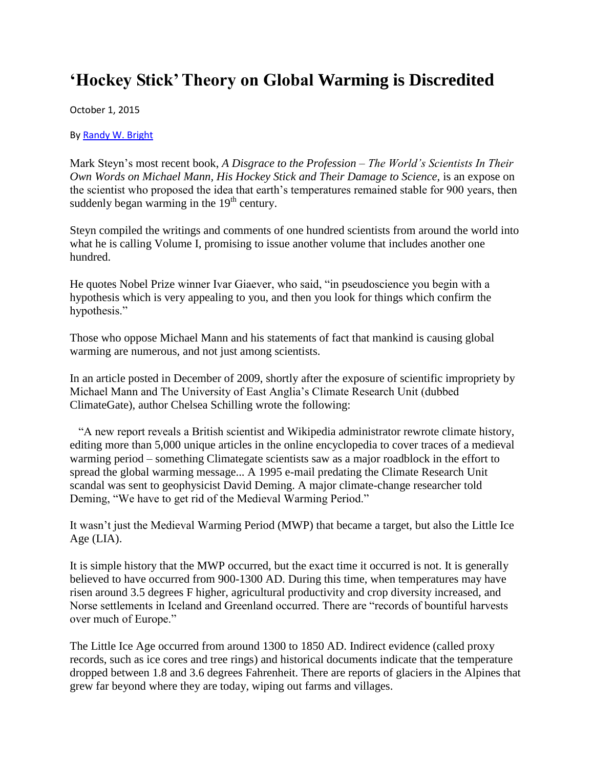## **'Hockey Stick' Theory on Global Warming is Discredited**

October 1, 2015

B[y Randy W. Bright](http://www.tulsabeacon.com/author/slug-o6yd1v)

Mark Steyn"s most recent book, *A Disgrace to the Profession – The World's Scientists In Their Own Words on Michael Mann, His Hockey Stick and Their Damage to Science,* is an expose on the scientist who proposed the idea that earth"s temperatures remained stable for 900 years, then suddenly began warming in the  $19<sup>th</sup>$  century.

Steyn compiled the writings and comments of one hundred scientists from around the world into what he is calling Volume I, promising to issue another volume that includes another one hundred.

He quotes Nobel Prize winner Ivar Giaever, who said, "in pseudoscience you begin with a hypothesis which is very appealing to you, and then you look for things which confirm the hypothesis."

Those who oppose Michael Mann and his statements of fact that mankind is causing global warming are numerous, and not just among scientists.

In an article posted in December of 2009, shortly after the exposure of scientific impropriety by Michael Mann and The University of East Anglia"s Climate Research Unit (dubbed ClimateGate), author Chelsea Schilling wrote the following:

 "A new report reveals a British scientist and Wikipedia administrator rewrote climate history, editing more than 5,000 unique articles in the online encyclopedia to cover traces of a medieval warming period – something Climategate scientists saw as a major roadblock in the effort to spread the global warming message... A 1995 e-mail predating the Climate Research Unit scandal was sent to geophysicist David Deming. A major climate-change researcher told Deming, "We have to get rid of the Medieval Warming Period."

It wasn"t just the Medieval Warming Period (MWP) that became a target, but also the Little Ice Age (LIA).

It is simple history that the MWP occurred, but the exact time it occurred is not. It is generally believed to have occurred from 900-1300 AD. During this time, when temperatures may have risen around 3.5 degrees F higher, agricultural productivity and crop diversity increased, and Norse settlements in Iceland and Greenland occurred. There are "records of bountiful harvests over much of Europe."

The Little Ice Age occurred from around 1300 to 1850 AD. Indirect evidence (called proxy records, such as ice cores and tree rings) and historical documents indicate that the temperature dropped between 1.8 and 3.6 degrees Fahrenheit. There are reports of glaciers in the Alpines that grew far beyond where they are today, wiping out farms and villages.